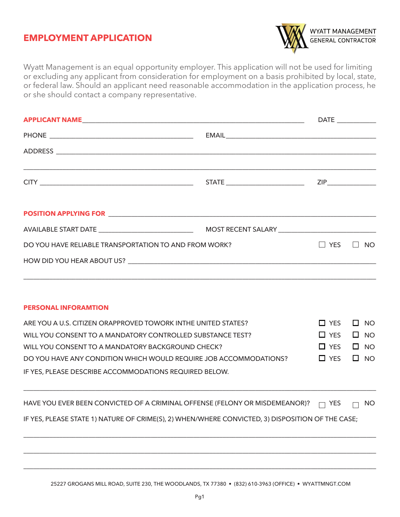## **EMPLOYMENT APPLICATION**



Wyatt Management is an equal opportunity employer. This application will not be used for limiting or excluding any applicant from consideration for employment on a basis prohibited by local, state, or federal law. Should an applicant need reasonable accommodation in the application process, he or she should contact a company representative.

|                                                       |  | DATE ______________  |  |
|-------------------------------------------------------|--|----------------------|--|
|                                                       |  |                      |  |
|                                                       |  |                      |  |
|                                                       |  |                      |  |
|                                                       |  |                      |  |
|                                                       |  |                      |  |
| DO YOU HAVE RELIABLE TRANSPORTATION TO AND FROM WORK? |  | $\Box$ YES $\Box$ NO |  |
|                                                       |  |                      |  |
|                                                       |  |                      |  |

## **PERSONAL INFORAMTION**

| ARE YOU A U.S. CITIZEN ORAPPROVED TOWORK INTHE UNITED STATES?     | $\Box$ YES $\Box$ NO |  |
|-------------------------------------------------------------------|----------------------|--|
| WILL YOU CONSENT TO A MANDATORY CONTROLLED SUBSTANCE TEST?        | $\Box$ YES $\Box$ NO |  |
| WILL YOU CONSENT TO A MANDATORY BACKGROUND CHECK?                 | $\Box$ YES $\Box$ NO |  |
| DO YOU HAVE ANY CONDITION WHICH WOULD REQUIRE JOB ACCOMMODATIONS? | $\Box$ YES $\Box$ NO |  |
| IF YES, PLEASE DESCRIBE ACCOMMODATIONS REQUIRED BELOW.            |                      |  |

HAVE YOU EVER BEEN CONVICTED OF A CRIMINAL OFFENSE (FELONY OR MISDEMEANOR)?  $\Box$  YES  $\Box$  NO

\_\_\_\_\_\_\_\_\_\_\_\_\_\_\_\_\_\_\_\_\_\_\_\_\_\_\_\_\_\_\_\_\_\_\_\_\_\_\_\_\_\_\_\_\_\_\_\_\_\_\_\_\_\_\_\_\_\_\_\_\_\_\_\_\_\_\_\_\_\_\_\_\_\_\_\_\_\_\_\_\_\_\_\_\_\_\_\_\_\_\_\_\_\_\_\_\_\_\_\_\_\_\_\_\_\_\_\_

\_\_\_\_\_\_\_\_\_\_\_\_\_\_\_\_\_\_\_\_\_\_\_\_\_\_\_\_\_\_\_\_\_\_\_\_\_\_\_\_\_\_\_\_\_\_\_\_\_\_\_\_\_\_\_\_\_\_\_\_\_\_\_\_\_\_\_\_\_\_\_\_\_\_\_\_\_\_\_\_\_\_\_\_\_\_\_\_\_\_\_\_\_\_\_\_\_\_\_\_\_\_\_\_\_\_\_\_

\_\_\_\_\_\_\_\_\_\_\_\_\_\_\_\_\_\_\_\_\_\_\_\_\_\_\_\_\_\_\_\_\_\_\_\_\_\_\_\_\_\_\_\_\_\_\_\_\_\_\_\_\_\_\_\_\_\_\_\_\_\_\_\_\_\_\_\_\_\_\_\_\_\_\_\_\_\_\_\_\_\_\_\_\_\_\_\_\_\_\_\_\_\_\_\_\_\_\_\_\_\_\_\_\_\_\_\_

\_\_\_\_\_\_\_\_\_\_\_\_\_\_\_\_\_\_\_\_\_\_\_\_\_\_\_\_\_\_\_\_\_\_\_\_\_\_\_\_\_\_\_\_\_\_\_\_\_\_\_\_\_\_\_\_\_\_\_\_\_\_\_\_\_\_\_\_\_\_\_\_\_\_\_\_\_\_\_\_\_\_\_\_\_\_\_\_\_\_\_\_\_\_\_\_\_\_\_\_\_\_\_\_\_\_\_\_

IF YES, PLEASE STATE 1) NATURE OF CRIME(S), 2) WHEN/WHERE CONVICTED, 3) DISPOSITION OF THE CASE;